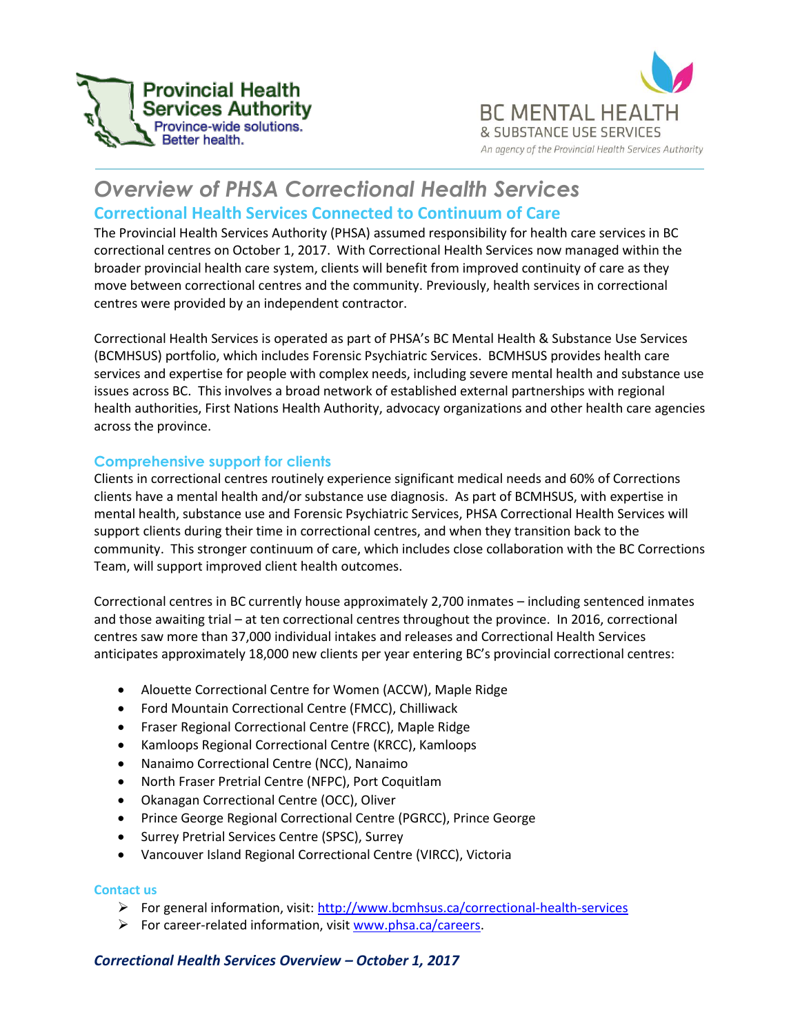



# *Overview of PHSA Correctional Health Services* **Correctional Health Services Connected to Continuum of Care**

The Provincial Health Services Authority (PHSA) assumed responsibility for health care services in BC correctional centres on October 1, 2017. With Correctional Health Services now managed within the broader provincial health care system, clients will benefit from improved continuity of care as they move between correctional centres and the community. Previously, health services in correctional centres were provided by an independent contractor.

Correctional Health Services is operated as part of PHSA's BC Mental Health & Substance Use Services (BCMHSUS) portfolio, which includes Forensic Psychiatric Services. BCMHSUS provides health care services and expertise for people with complex needs, including severe mental health and substance use issues across BC. This involves a broad network of established external partnerships with regional health authorities, First Nations Health Authority, advocacy organizations and other health care agencies across the province.

### **Comprehensive support for clients**

Clients in correctional centres routinely experience significant medical needs and 60% of Corrections clients have a mental health and/or substance use diagnosis. As part of BCMHSUS, with expertise in mental health, substance use and Forensic Psychiatric Services, PHSA Correctional Health Services will support clients during their time in correctional centres, and when they transition back to the community. This stronger continuum of care, which includes close collaboration with the BC Corrections Team, will support improved client health outcomes.

Correctional centres in BC currently house approximately 2,700 inmates – including sentenced inmates and those awaiting trial – at ten correctional centres throughout the province. In 2016, correctional centres saw more than 37,000 individual intakes and releases and Correctional Health Services anticipates approximately 18,000 new clients per year entering BC's provincial correctional centres:

- Alouette Correctional Centre for Women (ACCW), Maple Ridge
- Ford Mountain Correctional Centre (FMCC), Chilliwack
- Fraser Regional Correctional Centre (FRCC), Maple Ridge
- Kamloops Regional Correctional Centre (KRCC), Kamloops
- Nanaimo Correctional Centre (NCC), Nanaimo
- North Fraser Pretrial Centre (NFPC), Port Coquitlam
- Okanagan Correctional Centre (OCC), Oliver
- Prince George Regional Correctional Centre (PGRCC), Prince George
- Surrey Pretrial Services Centre (SPSC), Surrey
- Vancouver Island Regional Correctional Centre (VIRCC), Victoria

#### **Contact us**

- For general information, visit:<http://www.bcmhsus.ca/correctional-health-services>
- For career-related information, visi[t www.phsa.ca/careers.](http://www.phsa.ca/careers)

#### *Correctional Health Services Overview – October 1, 2017*